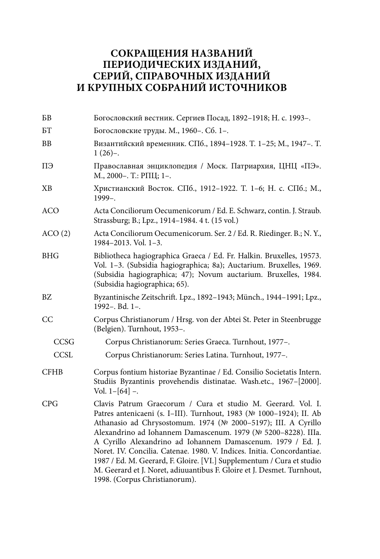## **СОКРАЩЕНИЯ НАЗВАНИЙ ПЕРИОДИЧЕСКИХ ИЗДАНИЙ, СЕРИЙ, СПРАВОЧНЫХ ИЗДАНИЙ И КРУПНЫХ СОБРАНИЙ ИСТОЧНИКОВ**

| B <sub>B</sub> | Богословский вестник. Сергиев Посад, 1892-1918; Н. с. 1993-.                                                                                                                                                                                                                                                                                                                                                                                                                                                                                                                                       |  |
|----------------|----------------------------------------------------------------------------------------------------------------------------------------------------------------------------------------------------------------------------------------------------------------------------------------------------------------------------------------------------------------------------------------------------------------------------------------------------------------------------------------------------------------------------------------------------------------------------------------------------|--|
| БT             | Богословские труды. М., 1960-. Сб. 1-.                                                                                                                                                                                                                                                                                                                                                                                                                                                                                                                                                             |  |
| BB             | Византийский временник. СПб., 1894-1928. Т. 1-25; М., 1947-. Т.<br>$1(26)-$                                                                                                                                                                                                                                                                                                                                                                                                                                                                                                                        |  |
| ПЭ             | Православная энциклопедия / Моск. Патриархия, ЦНЦ «ПЭ».<br>М., 2000-. Т.: РПЦ; 1-.                                                                                                                                                                                                                                                                                                                                                                                                                                                                                                                 |  |
| XВ             | Христианский Восток. СПб., 1912-1922. Т. 1-6; Н. с. СПб.; М.,<br>$1999 -$ .                                                                                                                                                                                                                                                                                                                                                                                                                                                                                                                        |  |
| <b>ACO</b>     | Acta Conciliorum Oecumenicorum / Ed. E. Schwarz, contin. J. Straub.<br>Strassburg; B.; Lpz., 1914-1984. 4 t. (15 vol.)                                                                                                                                                                                                                                                                                                                                                                                                                                                                             |  |
| ACO(2)         | Acta Conciliorum Oecumenicorum. Ser. 2 / Ed. R. Riedinger. B.; N. Y.,<br>1984-2013. Vol. 1-3.                                                                                                                                                                                                                                                                                                                                                                                                                                                                                                      |  |
| <b>BHG</b>     | Bibliotheca hagiographica Graeca / Ed. Fr. Halkin. Bruxelles, 19573.<br>Vol. 1-3. (Subsidia hagiographica; 8a); Auctarium. Bruxelles, 1969.<br>(Subsidia hagiographica; 47); Novum auctarium. Bruxelles, 1984.<br>(Subsidia hagiographica; 65).                                                                                                                                                                                                                                                                                                                                                    |  |
| BZ             | Byzantinische Zeitschrift. Lpz., 1892-1943; Münch., 1944-1991; Lpz.,<br>1992-. Bd. 1-.                                                                                                                                                                                                                                                                                                                                                                                                                                                                                                             |  |
| CC             | Corpus Christianorum / Hrsg. von der Abtei St. Peter in Steenbrugge<br>(Belgien). Turnhout, 1953-.                                                                                                                                                                                                                                                                                                                                                                                                                                                                                                 |  |
| CCSG           | Corpus Christianorum: Series Graeca. Turnhout, 1977-.                                                                                                                                                                                                                                                                                                                                                                                                                                                                                                                                              |  |
| <b>CCSL</b>    | Corpus Christianorum: Series Latina. Turnhout, 1977-.                                                                                                                                                                                                                                                                                                                                                                                                                                                                                                                                              |  |
| <b>CFHB</b>    | Corpus fontium historiae Byzantinae / Ed. Consilio Societatis Intern.<br>Studiis Byzantinis provehendis distinatae. Wash.etc., 1967-[2000].<br>Vol. $1-[64]$ -.                                                                                                                                                                                                                                                                                                                                                                                                                                    |  |
| <b>CPG</b>     | Clavis Patrum Graecorum / Cura et studio M. Geerard. Vol. I.<br>Patres antenicaeni (s. I-III). Turnhout, 1983 (№ 1000-1924); II. Ab<br>Athanasio ad Chrysostomum. 1974 (№ 2000-5197); III. A Cyrillo<br>Alexandrino ad Iohannem Damascenum. 1979 (№ 5200-8228). IIIa.<br>A Cyrillo Alexandrino ad Iohannem Damascenum. 1979 / Ed. J.<br>Noret. IV. Concilia. Catenae. 1980. V. Indices. Initia. Concordantiae.<br>1987 / Ed. M. Geerard, F. Gloire. [VI.] Supplementum / Cura et studio<br>M. Geerard et J. Noret, adiuuantibus F. Gloire et J. Desmet. Turnhout,<br>1998. (Corpus Christianorum). |  |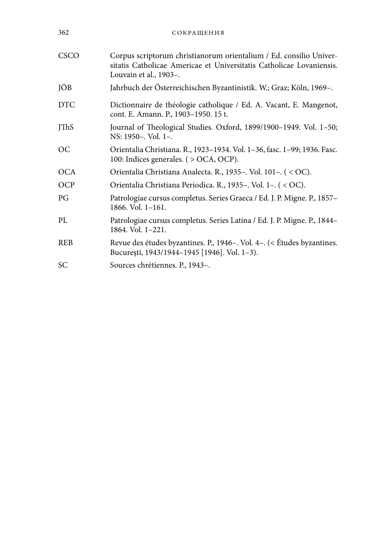| 362         | СОКРАЩЕНИЯ                                                                                                                                                           |
|-------------|----------------------------------------------------------------------------------------------------------------------------------------------------------------------|
| CSCO        | Corpus scriptorum christianorum orientalium / Ed. consilio Univer-<br>sitatis Catholicae Americae et Universitatis Catholicae Lovaniensis.<br>Louvain et al., 1903-. |
| JÖB         | Jahrbuch der Österreichischen Byzantinistik. W.; Graz; Köln, 1969-.                                                                                                  |
| <b>DTC</b>  | Dictionnaire de théologie catholique / Ed. A. Vacant, E. Mangenot,<br>cont. E. Amann. P., 1903-1950. 15 t.                                                           |
| <b>JThS</b> | Journal of Theological Studies. Oxford, 1899/1900-1949. Vol. 1-50;<br>NS: 1950-. Vol. 1-.                                                                            |
| <b>OC</b>   | Orientalia Christiana. R., 1923–1934. Vol. 1–36, fasc. 1–99; 1936. Fasc.<br>100: Indices generales. ( > OCA, OCP).                                                   |
| <b>OCA</b>  | Orientalia Christiana Analecta. R., 1935-. Vol. 101-. (< OC).                                                                                                        |
| OCP         | Orientalia Christiana Periodica. R., 1935-. Vol. 1-. (< OC).                                                                                                         |
| PG          | Patrologiae cursus completus. Series Graeca / Ed. J. P. Migne. P., 1857-<br>$1866.$ Vol. $1-161.$                                                                    |
| PI.         | Patrologiae cursus completus. Series Latina / Ed. J. P. Migne. P., 1844–<br>1864. Vol. 1-221.                                                                        |
| <b>REB</b>  | Revue des études byzantines. P., 1946–. Vol. 4–. (< Études byzantines.<br>București, 1943/1944-1945 [1946]. Vol. 1-3).                                               |
| SC          | Sources chrétiennes. P., 1943-.                                                                                                                                      |